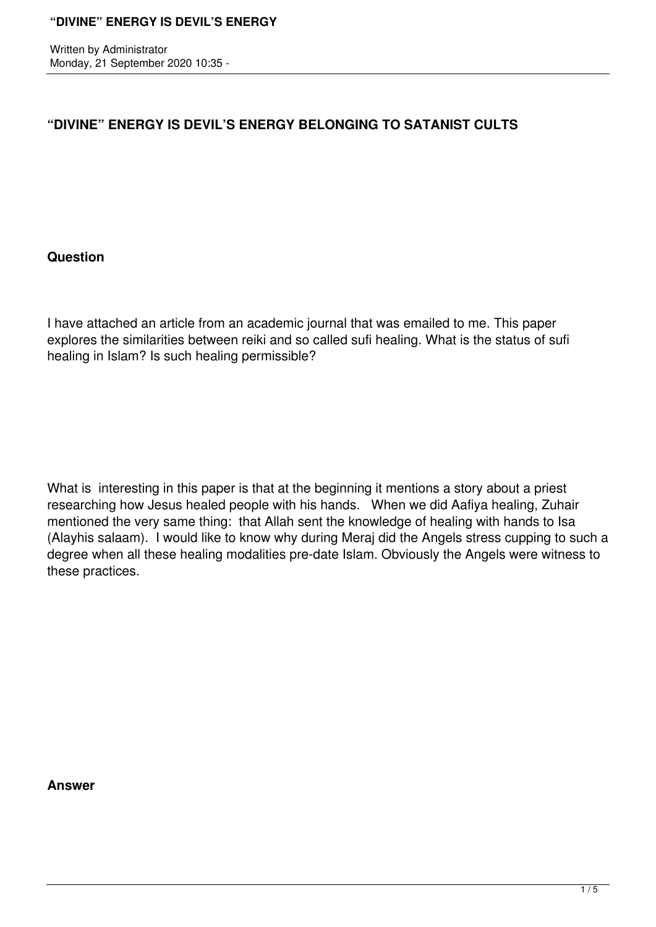Written by Administrator Monday, 21 September 2020 10:35 -

# **"DIVINE" ENERGY IS DEVIL'S ENERGY BELONGING TO SATANIST CULTS**

#### **Question**

I have attached an article from an academic journal that was emailed to me. This paper explores the similarities between reiki and so called sufi healing. What is the status of sufi healing in Islam? Is such healing permissible?

What is interesting in this paper is that at the beginning it mentions a story about a priest researching how Jesus healed people with his hands. When we did Aafiya healing, Zuhair mentioned the very same thing: that Allah sent the knowledge of healing with hands to Isa (Alayhis salaam). I would like to know why during Meraj did the Angels stress cupping to such a degree when all these healing modalities pre-date Islam. Obviously the Angels were witness to these practices.

**Answer**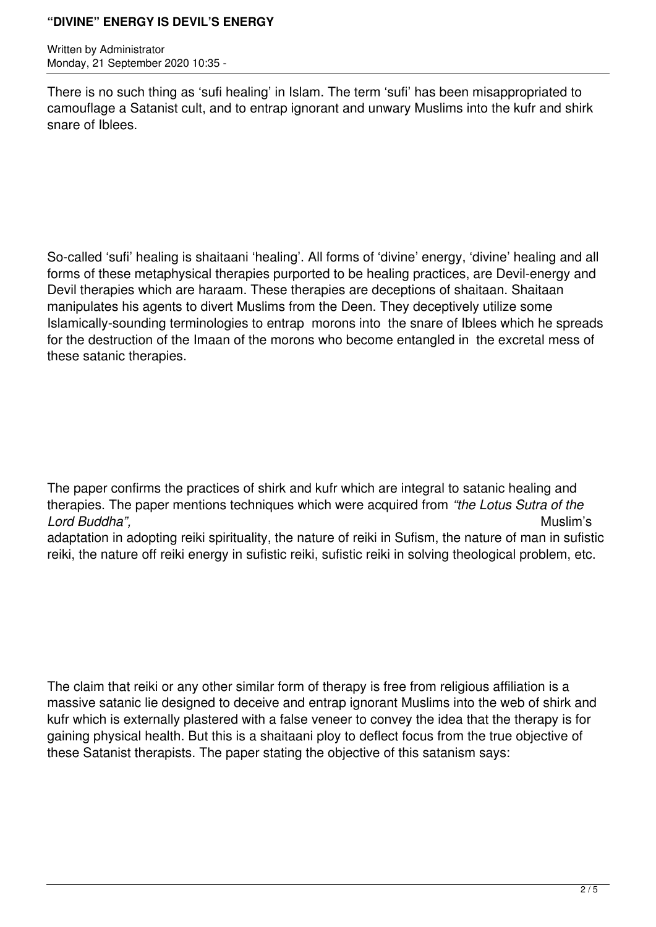Written by Administrator Monday, 21 September 2020 10:35 -

There is no such thing as 'sufi healing' in Islam. The term 'sufi' has been misappropriated to camouflage a Satanist cult, and to entrap ignorant and unwary Muslims into the kufr and shirk snare of Iblees.

So-called 'sufi' healing is shaitaani 'healing'. All forms of 'divine' energy, 'divine' healing and all forms of these metaphysical therapies purported to be healing practices, are Devil-energy and Devil therapies which are haraam. These therapies are deceptions of shaitaan. Shaitaan manipulates his agents to divert Muslims from the Deen. They deceptively utilize some Islamically-sounding terminologies to entrap morons into the snare of Iblees which he spreads for the destruction of the Imaan of the morons who become entangled in the excretal mess of these satanic therapies.

The paper confirms the practices of shirk and kufr which are integral to satanic healing and therapies. The paper mentions techniques which were acquired from *"the Lotus Sutra of the Lord Buddha",* Muslim's

adaptation in adopting reiki spirituality, the nature of reiki in Sufism, the nature of man in sufistic reiki, the nature off reiki energy in sufistic reiki, sufistic reiki in solving theological problem, etc.

The claim that reiki or any other similar form of therapy is free from religious affiliation is a massive satanic lie designed to deceive and entrap ignorant Muslims into the web of shirk and kufr which is externally plastered with a false veneer to convey the idea that the therapy is for gaining physical health. But this is a shaitaani ploy to deflect focus from the true objective of these Satanist therapists. The paper stating the objective of this satanism says: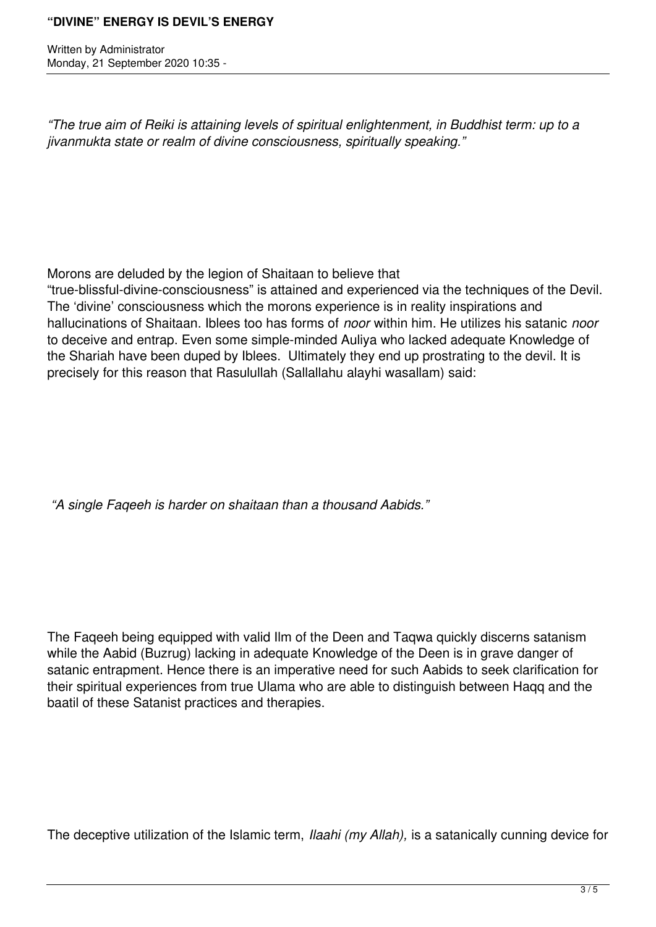Written by Administrator Monday, 21 September 2020 10:35 -

*"The true aim of Reiki is attaining levels of spiritual enlightenment, in Buddhist term: up to a jivanmukta state or realm of divine consciousness, spiritually speaking."*

Morons are deluded by the legion of Shaitaan to believe that

"true-blissful-divine-consciousness" is attained and experienced via the techniques of the Devil. The 'divine' consciousness which the morons experience is in reality inspirations and hallucinations of Shaitaan. Iblees too has forms of *noor* within him. He utilizes his satanic *noor* to deceive and entrap. Even some simple-minded Auliya who lacked adequate Knowledge of the Shariah have been duped by Iblees. Ultimately they end up prostrating to the devil. It is precisely for this reason that Rasulullah (Sallallahu alayhi wasallam) said:

 *"A single Faqeeh is harder on shaitaan than a thousand Aabids."*

The Faqeeh being equipped with valid Ilm of the Deen and Taqwa quickly discerns satanism while the Aabid (Buzrug) lacking in adequate Knowledge of the Deen is in grave danger of satanic entrapment. Hence there is an imperative need for such Aabids to seek clarification for their spiritual experiences from true Ulama who are able to distinguish between Haqq and the baatil of these Satanist practices and therapies.

The deceptive utilization of the Islamic term, *Ilaahi (my Allah),* is a satanically cunning device for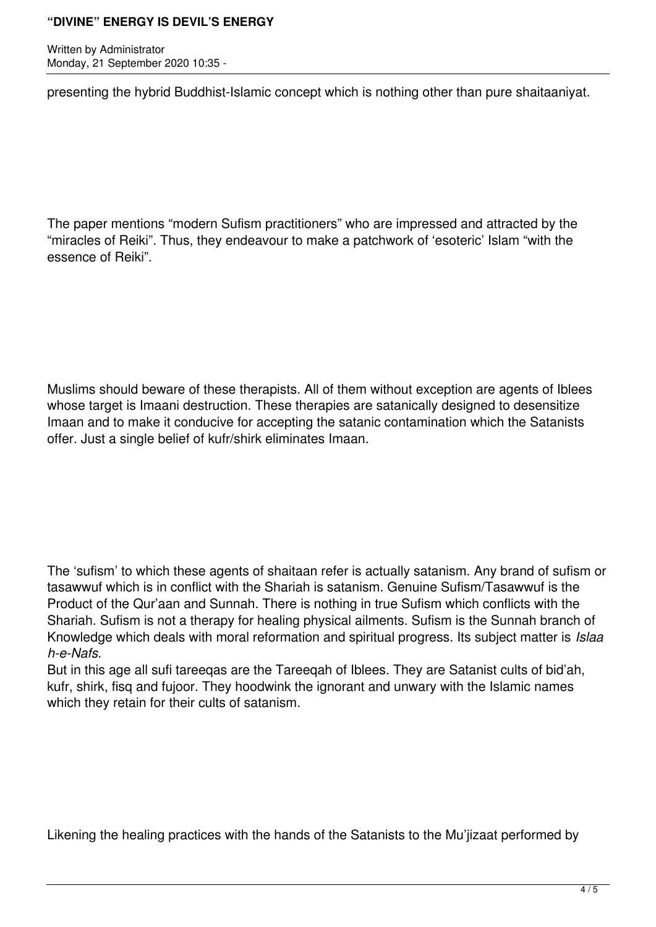Written by Administrator Monday, 21 September 2020 10:35 -

presenting the hybrid Buddhist-Islamic concept which is nothing other than pure shaitaaniyat.

The paper mentions "modern Sufism practitioners" who are impressed and attracted by the "miracles of Reiki". Thus, they endeavour to make a patchwork of 'esoteric' Islam "with the essence of Reiki".

Muslims should beware of these therapists. All of them without exception are agents of Iblees whose target is Imaani destruction. These therapies are satanically designed to desensitize Imaan and to make it conducive for accepting the satanic contamination which the Satanists offer. Just a single belief of kufr/shirk eliminates Imaan.

The 'sufism' to which these agents of shaitaan refer is actually satanism. Any brand of sufism or tasawwuf which is in conflict with the Shariah is satanism. Genuine Sufism/Tasawwuf is the Product of the Qur'aan and Sunnah. There is nothing in true Sufism which conflicts with the Shariah. Sufism is not a therapy for healing physical ailments. Sufism is the Sunnah branch of Knowledge which deals with moral reformation and spiritual progress. Its subject matter is *Islaa h-e-Nafs.*

But in this age all sufi tareeqas are the Tareeqah of Iblees. They are Satanist cults of bid'ah, kufr, shirk, fisq and fujoor. They hoodwink the ignorant and unwary with the Islamic names which they retain for their cults of satanism.

Likening the healing practices with the hands of the Satanists to the Mu'jizaat performed by